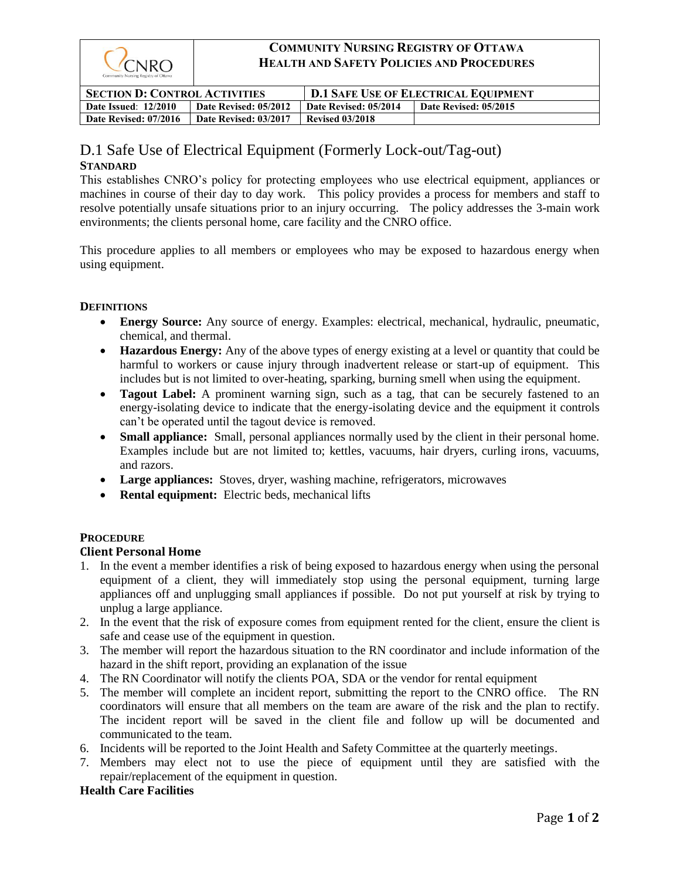

# **COMMUNITY NURSING REGISTRY OF OTTAWA HEALTH AND SAFETY POLICIES AND PROCEDURES**

| <b>SECTION D: CONTROL ACTIVITIES</b> |                       | <b>D.1 SAFE USE OF ELECTRICAL EQUIPMENT</b> |                       |
|--------------------------------------|-----------------------|---------------------------------------------|-----------------------|
| <b>Date Issued: 12/2010</b>          | Date Revised: 05/2012 | Date Revised: 05/2014                       | Date Revised: 05/2015 |
| Date Revised: 07/2016                | Date Revised: 03/2017 | <b>Revised 03/2018</b>                      |                       |

# D.1 Safe Use of Electrical Equipment (Formerly Lock-out/Tag-out)

## **STANDARD**

This establishes CNRO's policy for protecting employees who use electrical equipment, appliances or machines in course of their day to day work. This policy provides a process for members and staff to resolve potentially unsafe situations prior to an injury occurring. The policy addresses the 3-main work environments; the clients personal home, care facility and the CNRO office.

This procedure applies to all members or employees who may be exposed to hazardous energy when using equipment.

## **DEFINITIONS**

- **Energy Source:** Any source of energy. Examples: electrical, mechanical, hydraulic, pneumatic, chemical, and thermal.
- **Hazardous Energy:** Any of the above types of energy existing at a level or quantity that could be harmful to workers or cause injury through inadvertent release or start-up of equipment. This includes but is not limited to over-heating, sparking, burning smell when using the equipment.
- **Tagout Label:** A prominent warning sign, such as a tag, that can be securely fastened to an energy-isolating device to indicate that the energy-isolating device and the equipment it controls can't be operated until the tagout device is removed.
- **Small appliance:** Small, personal appliances normally used by the client in their personal home. Examples include but are not limited to; kettles, vacuums, hair dryers, curling irons, vacuums, and razors.
- **Large appliances:** Stoves, dryer, washing machine, refrigerators, microwaves
- **Rental equipment:** Electric beds, mechanical lifts

## **PROCEDURE**

## **Client Personal Home**

- 1. In the event a member identifies a risk of being exposed to hazardous energy when using the personal equipment of a client, they will immediately stop using the personal equipment, turning large appliances off and unplugging small appliances if possible. Do not put yourself at risk by trying to unplug a large appliance.
- 2. In the event that the risk of exposure comes from equipment rented for the client, ensure the client is safe and cease use of the equipment in question.
- 3. The member will report the hazardous situation to the RN coordinator and include information of the hazard in the shift report, providing an explanation of the issue
- 4. The RN Coordinator will notify the clients POA, SDA or the vendor for rental equipment
- 5. The member will complete an incident report, submitting the report to the CNRO office. The RN coordinators will ensure that all members on the team are aware of the risk and the plan to rectify. The incident report will be saved in the client file and follow up will be documented and communicated to the team.
- 6. Incidents will be reported to the Joint Health and Safety Committee at the quarterly meetings.
- 7. Members may elect not to use the piece of equipment until they are satisfied with the repair/replacement of the equipment in question.

## **Health Care Facilities**